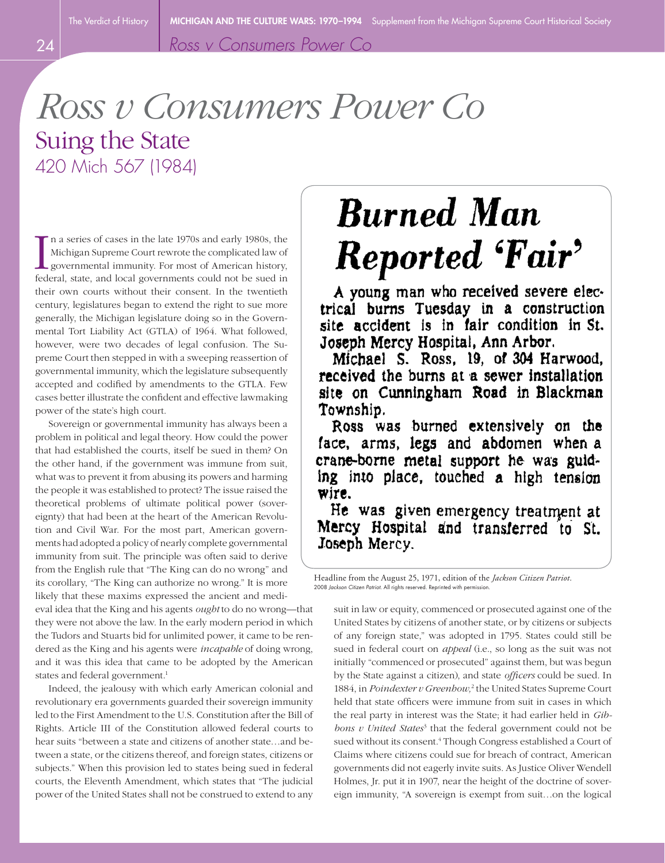$24$ 

*Ross v Consumers Power Co*

### *Ross v Consumers Power Co* Suing the State 420 Mich 567 (1984)

In a series of cases in the late 1970s and early 1980s, the Michigan Supreme Court rewrote the complicated law of governmental immunity. For most of American history, federal, state, and local governments could not be sued n a series of cases in the late 1970s and early 1980s, the Michigan Supreme Court rewrote the complicated law of governmental immunity. For most of American history, their own courts without their consent. In the twentieth century, legislatures began to extend the right to sue more generally, the Michigan legislature doing so in the Governmental Tort Liability Act (GTLA) of 1964. What followed, however, were two decades of legal confusion. The Supreme Court then stepped in with a sweeping reassertion of governmental immunity, which the legislature subsequently accepted and codified by amendments to the GTLA. Few cases better illustrate the confident and effective lawmaking power of the state's high court.

Sovereign or governmental immunity has always been a problem in political and legal theory. How could the power that had established the courts, itself be sued in them? On the other hand, if the government was immune from suit, what was to prevent it from abusing its powers and harming the people it was established to protect? The issue raised the theoretical problems of ultimate political power (sovereignty) that had been at the heart of the American Revolution and Civil War. For the most part, American governments had adopted a policy of nearly complete governmental immunity from suit. The principle was often said to derive from the English rule that "The King can do no wrong" and its corollary, "The King can authorize no wrong." It is more likely that these maxims expressed the ancient and medi-

eval idea that the King and his agents *ought* to do no wrong—that they were not above the law. In the early modern period in which the Tudors and Stuarts bid for unlimited power, it came to be rendered as the King and his agents were *incapable* of doing wrong, and it was this idea that came to be adopted by the American states and federal government.<sup>1</sup>

Indeed, the jealousy with which early American colonial and revolutionary era governments guarded their sovereign immunity led to the First Amendment to the U.S. Constitution after the Bill of Rights. Article III of the Constitution allowed federal courts to hear suits "between a state and citizens of another state…and between a state, or the citizens thereof, and foreign states, citizens or subjects." When this provision led to states being sued in federal courts, the Eleventh Amendment, which states that "The judicial power of the United States shall not be construed to extend to any

## **Burned Man Reported 'Fair'**

A young man who received severe electrical burns Tuesday in a construction site accident is in fair condition in St. Joseph Mercy Hospital, Ann Arbor.

Michael S. Ross, 19, of 304 Harwood, received the burns at a sewer installation site on Cunningham Road in Blackman Township.

Ross was burned extensively on the face, arms, legs and abdomen when a crane-borne metal support he was guiding into place, touched a high tension wire.

He was given emergency treatment at Mercy Hospital and transferred to St. Joseph Mercy.

Headline from the August 25, 1971, edition of the *Jackson Citizen Patriot.* 2008 *Jackson Citizen Patriot.* All rights reserved. Reprinted with permission.

suit in law or equity, commenced or prosecuted against one of the United States by citizens of another state, or by citizens or subjects of any foreign state," was adopted in 1795. States could still be sued in federal court on *appeal* (i.e., so long as the suit was not initially "commenced or prosecuted" against them, but was begun by the State against a citizen), and state *officers* could be sued. In 1884, in *Poindexter v Greenhow*,<sup>2</sup> the United States Supreme Court held that state officers were immune from suit in cases in which the real party in interest was the State; it had earlier held in *Gib*bons v United States<sup>3</sup> that the federal government could not be sued without its consent.<sup>4</sup> Though Congress established a Court of Claims where citizens could sue for breach of contract, American governments did not eagerly invite suits. As Justice Oliver Wendell Holmes, Jr. put it in 1907, near the height of the doctrine of sovereign immunity, "A sovereign is exempt from suit…on the logical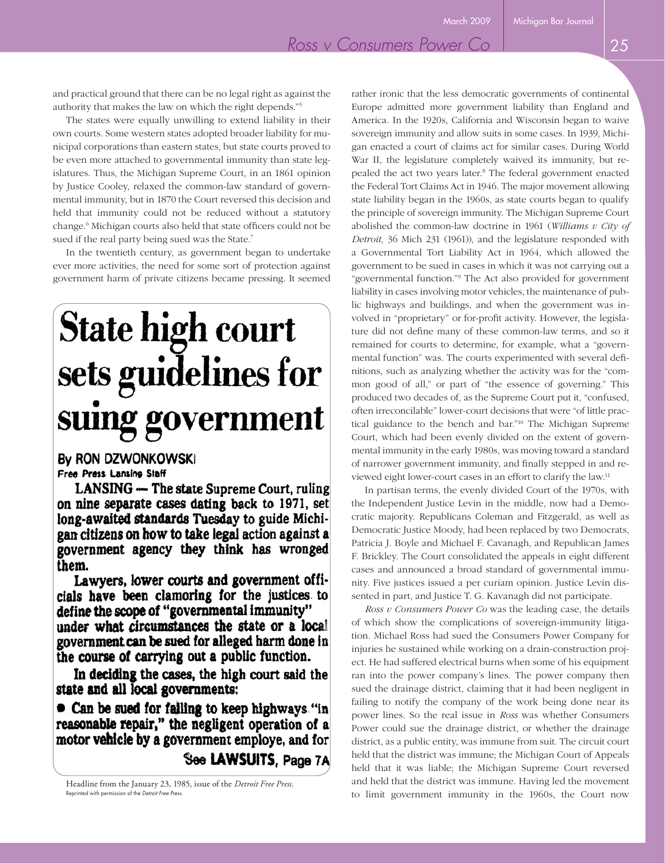and practical ground that there can be no legal right as against the authority that makes the law on which the right depends."5

The states were equally unwilling to extend liability in their own courts. Some western states adopted broader liability for municipal corporations than eastern states, but state courts proved to be even more attached to governmental immunity than state legislatures. Thus, the Michigan Supreme Court, in an 1861 opinion by Justice Cooley, relaxed the common-law standard of governmental immunity, but in 1870 the Court reversed this decision and held that immunity could not be reduced without a statutory change.6 Michigan courts also held that state officers could not be sued if the real party being sued was the State.7

In the twentieth century, as government began to undertake ever more activities, the need for some sort of protection against government harm of private citizens became pressing. It seemed

# State high court sets guidelines for suing government

#### By RON DZWONKOWSKI

Free Press Lansing Staff

LANSING — The state Supreme Court, ruling on nine separate cases dating back to 1971, set long-awaited standards Tuesday to guide Michigan citizens on how to take legal action against a government agency they think has wronged them.

Lawyers, lower courts and government officials have been clamoring for the justices to define the scope of "governmental immunity" under what circumstances the state or a local government can be sued for alleged harm done in the course of carrying out a public function.

In deciding the cases, the high court said the state and all local governments:

• Can be sued for failing to keep highways "in reasonable repair," the negligent operation of a motor vehicle by a government employe, and for See LAWSUITS, Page 7A

Headline from the January 23, 1985, issue of the *Detroit Free Press.* Reprinted with permission of the *Detroit Free Press.*

rather ironic that the less democratic governments of continental Europe admitted more government liability than England and America. In the 1920s, California and Wisconsin began to waive sovereign immunity and allow suits in some cases. In 1939, Michigan enacted a court of claims act for similar cases. During World War II, the legislature completely waived its immunity, but repealed the act two years later.<sup>8</sup> The federal government enacted the Federal Tort Claims Act in 1946. The major movement allowing state liability began in the 1960s, as state courts began to qualify the principle of sovereign immunity. The Michigan Supreme Court abolished the common-law doctrine in 1961 (*Williams v City of Detroit,* 36 Mich 231 (1961)), and the legislature responded with a Governmental Tort Liability Act in 1964, which allowed the government to be sued in cases in which it was not carrying out a "governmental function."9 The Act also provided for government liability in cases involving motor vehicles, the maintenance of public highways and buildings, and when the government was involved in "proprietary" or for-profit activity. However, the legislature did not define many of these common-law terms, and so it remained for courts to determine, for example, what a "governmental function" was. The courts experimented with several definitions, such as analyzing whether the activity was for the "common good of all," or part of "the essence of governing." This produced two decades of, as the Supreme Court put it, "confused, often irreconcilable" lower-court decisions that were "of little practical guidance to the bench and bar."10 The Michigan Supreme Court, which had been evenly divided on the extent of governmental immunity in the early 1980s, was moving toward a standard of narrower government immunity, and finally stepped in and reviewed eight lower-court cases in an effort to clarify the law.11

In partisan terms, the evenly divided Court of the 1970s, with the Independent Justice Levin in the middle, now had a Democratic majority. Republicans Coleman and Fitzgerald, as well as Democratic Justice Moody, had been replaced by two Democrats, Patricia J. Boyle and Michael F. Cavanagh, and Republican James F. Brickley. The Court consolidated the appeals in eight different cases and announced a broad standard of governmental immunity. Five justices issued a per curiam opinion. Justice Levin dissented in part, and Justice T. G. Kavanagh did not participate.

*Ross v Consumers Power Co* was the leading case, the details of which show the complications of sovereign-immunity litigation. Michael Ross had sued the Consumers Power Company for injuries he sustained while working on a drain-construction project. He had suffered electrical burns when some of his equipment ran into the power company's lines. The power company then sued the drainage district, claiming that it had been negligent in failing to notify the company of the work being done near its power lines. So the real issue in *Ross* was whether Consumers Power could sue the drainage district, or whether the drainage district, as a public entity, was immune from suit. The circuit court held that the district was immune; the Michigan Court of Appeals held that it was liable; the Michigan Supreme Court reversed and held that the district was immune. Having led the movement to limit government immunity in the 1960s, the Court now